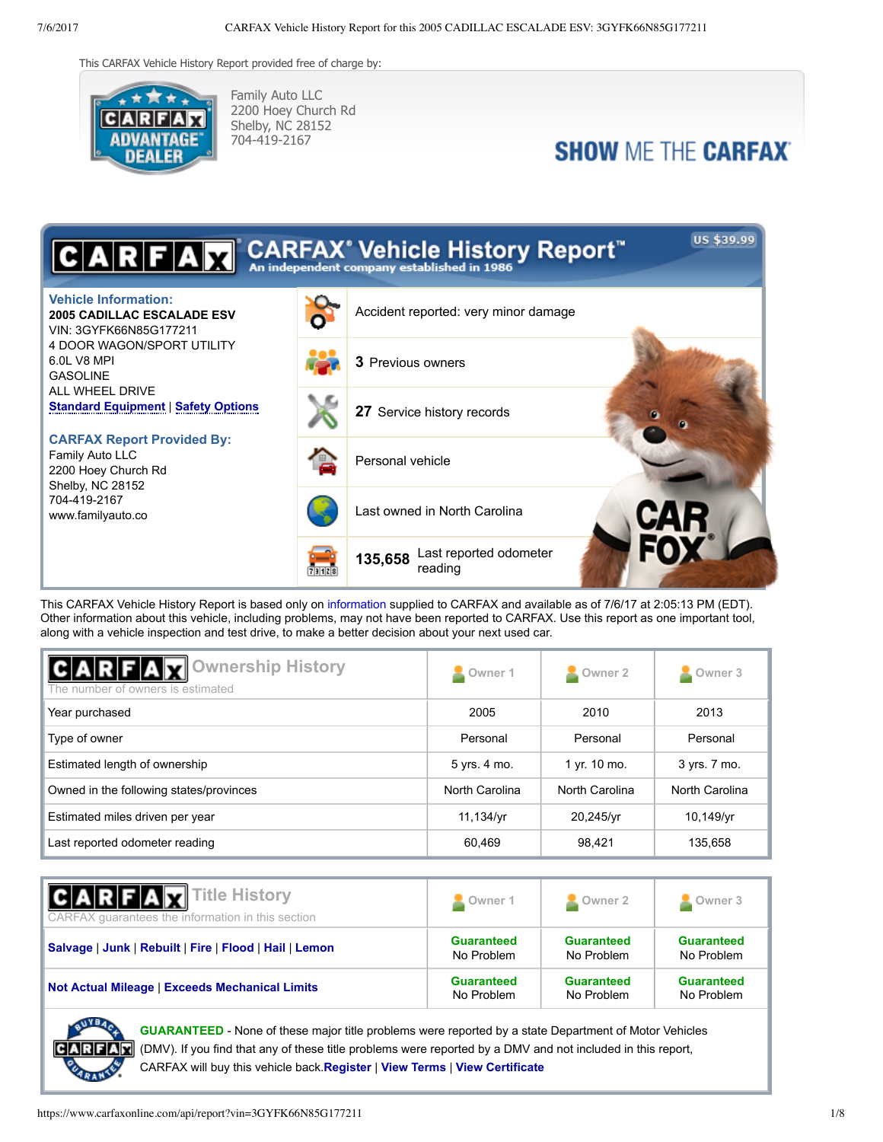This CARFAX Vehicle History Report provided free of charge by:



Family Auto LLC 2200 Hoey Church Rd Shelby, NC 28152 704-419-2167

## **SHOW ME THE CARFAX**



This CARFAX Vehicle History Report is based only on [information](http://www.carfax.com/about/car_history/hcwhereinfo.cfm) supplied to CARFAX and available as of 7/6/17 at 2:05:13 PM (EDT). Other information about this vehicle, including problems, may not have been reported to CARFAX. Use this report as one important tool, along with a vehicle inspection and test drive, to make a better decision about your next used car.

| <b>CARFAX</b> Ownership History<br>The number of owners is estimated | Owner 1        | Owner 2        | Owner <sub>3</sub> |
|----------------------------------------------------------------------|----------------|----------------|--------------------|
| Year purchased                                                       | 2005           | 2010           | 2013               |
| Type of owner                                                        | Personal       | Personal       | Personal           |
| Estimated length of ownership                                        | 5 yrs. 4 mo.   | 1 yr. 10 mo.   | 3 yrs. 7 mo.       |
| Owned in the following states/provinces                              | North Carolina | North Carolina | North Carolina     |
| Estimated miles driven per year                                      | 11.134/vr      | 20,245/yr      | 10,149/yr          |
| Last reported odometer reading                                       | 60.469         | 98.421         | 135.658            |

| <b>CARFAX</b> Title History<br>CARFAX guarantees the information in this section | Owner 1           | Owner 2           | Owner 3           |
|----------------------------------------------------------------------------------|-------------------|-------------------|-------------------|
| Salvage   Junk   Rebuilt   Fire   Flood   Hail   Lemon                           | <b>Guaranteed</b> | <b>Guaranteed</b> | <b>Guaranteed</b> |
|                                                                                  | No Problem        | No Problem        | No Problem        |
| <b>Not Actual Mileage   Exceeds Mechanical Limits</b>                            | <b>Guaranteed</b> | <b>Guaranteed</b> | <b>Guaranteed</b> |
|                                                                                  | No Problem        | No Problem        | No Problem        |



**GUARANTEED** - None of these major title problems were reported by a state Department of Motor Vehicles (DMV). If you find that any of these title problems were reported by a DMV and not included in this report, CARFAX will buy this vehicle back.**[Register](https://www.carfaxonline.com/manifest/bbg/register.cfx?source=VHO&locGid=563425)** | **[View Terms](http://www.carfaxonline.com/legal/bbgTerms)** | **[View Certificate](https://www.carfaxonline.com/phoenix/bbg/viewPrintCertificate.cfx?permutation=SUBSCRIBER_WEBSITE_CIP&vin=3GYFK66N85G177211&make=CADILLAC&model=ESCALADE+ESV&year=2005&engineInfo=+6.0L+V8++MPI&drivelineDescription=ALL+WHEEL+DRIVE&bodyTypeDescription=4+DOOR+WAGON%2FSPORT+UTILITY&coveragePeriod=07%2F06%2F2017+-+07%2F06%2F2018&tabbed=true&vin=3GYFK66N85G177211&make=CADILLAC&model=ESCALADE+ESV&year=2005&engineInfo=+6.0L+V8++MPI&drivelineDescription=ALL+WHEEL+DRIVE&bodyTypeDescription=4+DOOR+WAGON%2FSPORT+UTILITY&coveragePeriod=07%2F06%2F2017+-+07%2F06%2F2018&tabbed=true)**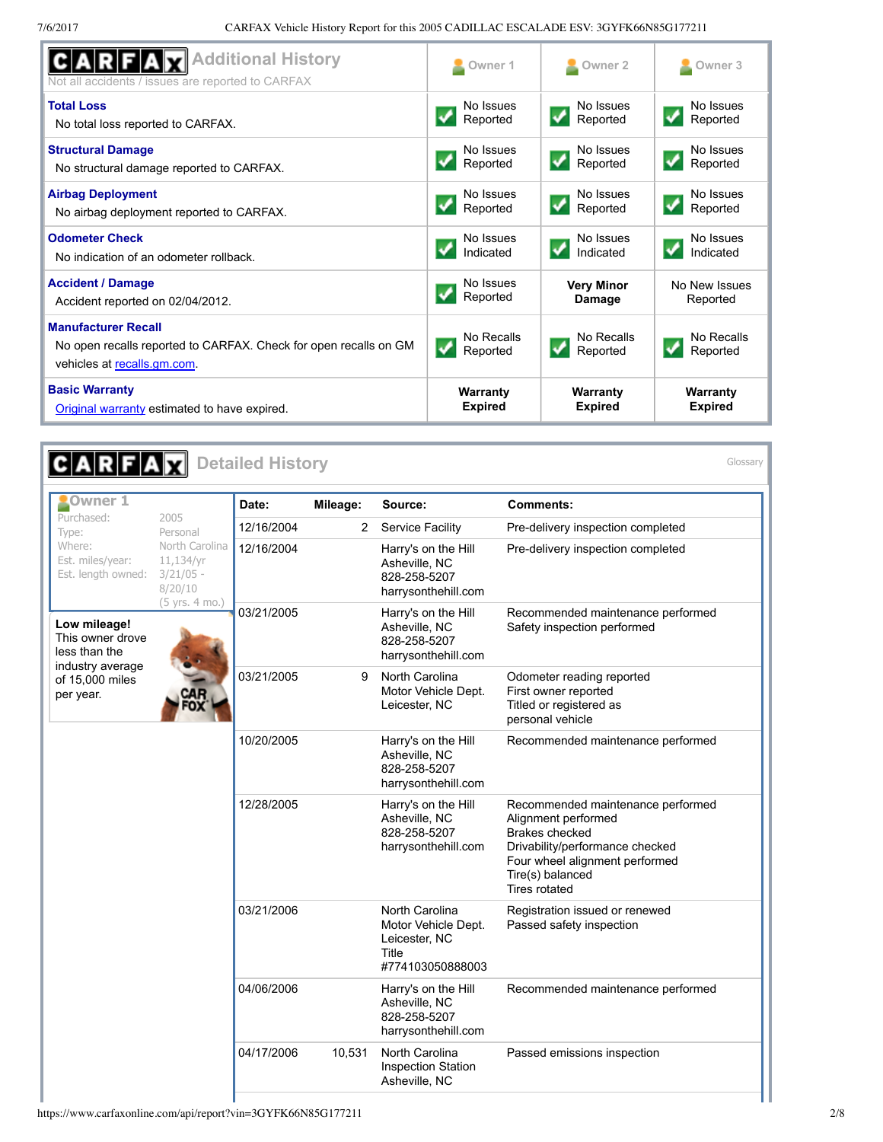| <b>Additional History</b><br>Not all accidents / issues are reported to CARFAX                                                | Owner 1                | Owner 2                | Owner <sub>3</sub>     |
|-------------------------------------------------------------------------------------------------------------------------------|------------------------|------------------------|------------------------|
| <b>Total Loss</b>                                                                                                             | No Issues              | No Issues              | No Issues              |
| No total loss reported to CARFAX.                                                                                             | Reported               | Reported               | Reported               |
| <b>Structural Damage</b>                                                                                                      | No Issues              | No Issues              | No Issues              |
| No structural damage reported to CARFAX.                                                                                      | Reported               | Reported               | Reported               |
| <b>Airbag Deployment</b>                                                                                                      | No Issues              | No Issues              | No Issues              |
| No airbag deployment reported to CARFAX.                                                                                      | Reported               | Reported               | Reported               |
| <b>Odometer Check</b>                                                                                                         | No Issues              | No Issues              | No Issues              |
| No indication of an odometer rollback.                                                                                        | Indicated              | Indicated              | Indicated              |
| <b>Accident / Damage</b>                                                                                                      | No Issues              | <b>Very Minor</b>      | No New Issues          |
| Accident reported on 02/04/2012.                                                                                              | Reported               | Damage                 | Reported               |
| <b>Manufacturer Recall</b><br>No open recalls reported to CARFAX. Check for open recalls on GM<br>vehicles at recalls gm.com. | No Recalls<br>Reported | No Recalls<br>Reported | No Recalls<br>Reported |
| <b>Basic Warranty</b>                                                                                                         | Warranty               | Warranty               | Warranty               |
| Original warranty estimated to have expired.                                                                                  | <b>Expired</b>         | <b>Expired</b>         | <b>Expired</b>         |

| <b>CARFAX</b> Detailed History                                        |                                                                         |            |              |                                                                                     |                                                                                                                                                                                             | Glossary |
|-----------------------------------------------------------------------|-------------------------------------------------------------------------|------------|--------------|-------------------------------------------------------------------------------------|---------------------------------------------------------------------------------------------------------------------------------------------------------------------------------------------|----------|
| <b>COwner 1</b>                                                       |                                                                         | Date:      | Mileage:     | Source:                                                                             | Comments:                                                                                                                                                                                   |          |
| Purchased:<br>Type:                                                   | 2005<br>Personal                                                        | 12/16/2004 | $\mathbf{2}$ | <b>Service Facility</b>                                                             | Pre-delivery inspection completed                                                                                                                                                           |          |
| Where:<br>Est. miles/year:<br>Est. length owned:                      | North Carolina<br>11,134/yr<br>$3/21/05 -$<br>8/20/10<br>(5 yrs. 4 mo.) | 12/16/2004 |              | Harry's on the Hill<br>Asheville, NC<br>828-258-5207<br>harrysonthehill.com         | Pre-delivery inspection completed                                                                                                                                                           |          |
| Low mileage!<br>This owner drove<br>less than the<br>industry average |                                                                         | 03/21/2005 |              | Harry's on the Hill<br>Asheville, NC<br>828-258-5207<br>harrysonthehill.com         | Recommended maintenance performed<br>Safety inspection performed                                                                                                                            |          |
| of 15,000 miles<br>per year.                                          |                                                                         | 03/21/2005 | 9            | North Carolina<br>Motor Vehicle Dept.<br>Leicester, NC                              | Odometer reading reported<br>First owner reported<br>Titled or registered as<br>personal vehicle                                                                                            |          |
|                                                                       |                                                                         | 10/20/2005 |              | Harry's on the Hill<br>Asheville, NC<br>828-258-5207<br>harrysonthehill.com         | Recommended maintenance performed                                                                                                                                                           |          |
|                                                                       |                                                                         | 12/28/2005 |              | Harry's on the Hill<br>Asheville, NC<br>828-258-5207<br>harrysonthehill.com         | Recommended maintenance performed<br>Alignment performed<br>Brakes checked<br>Drivability/performance checked<br>Four wheel alignment performed<br>Tire(s) balanced<br><b>Tires rotated</b> |          |
|                                                                       |                                                                         | 03/21/2006 |              | North Carolina<br>Motor Vehicle Dept.<br>Leicester, NC<br>Title<br>#774103050888003 | Registration issued or renewed<br>Passed safety inspection                                                                                                                                  |          |
|                                                                       |                                                                         | 04/06/2006 |              | Harry's on the Hill<br>Asheville, NC<br>828-258-5207<br>harrysonthehill.com         | Recommended maintenance performed                                                                                                                                                           |          |
|                                                                       |                                                                         | 04/17/2006 | 10,531       | North Carolina<br><b>Inspection Station</b><br>Asheville, NC                        | Passed emissions inspection                                                                                                                                                                 |          |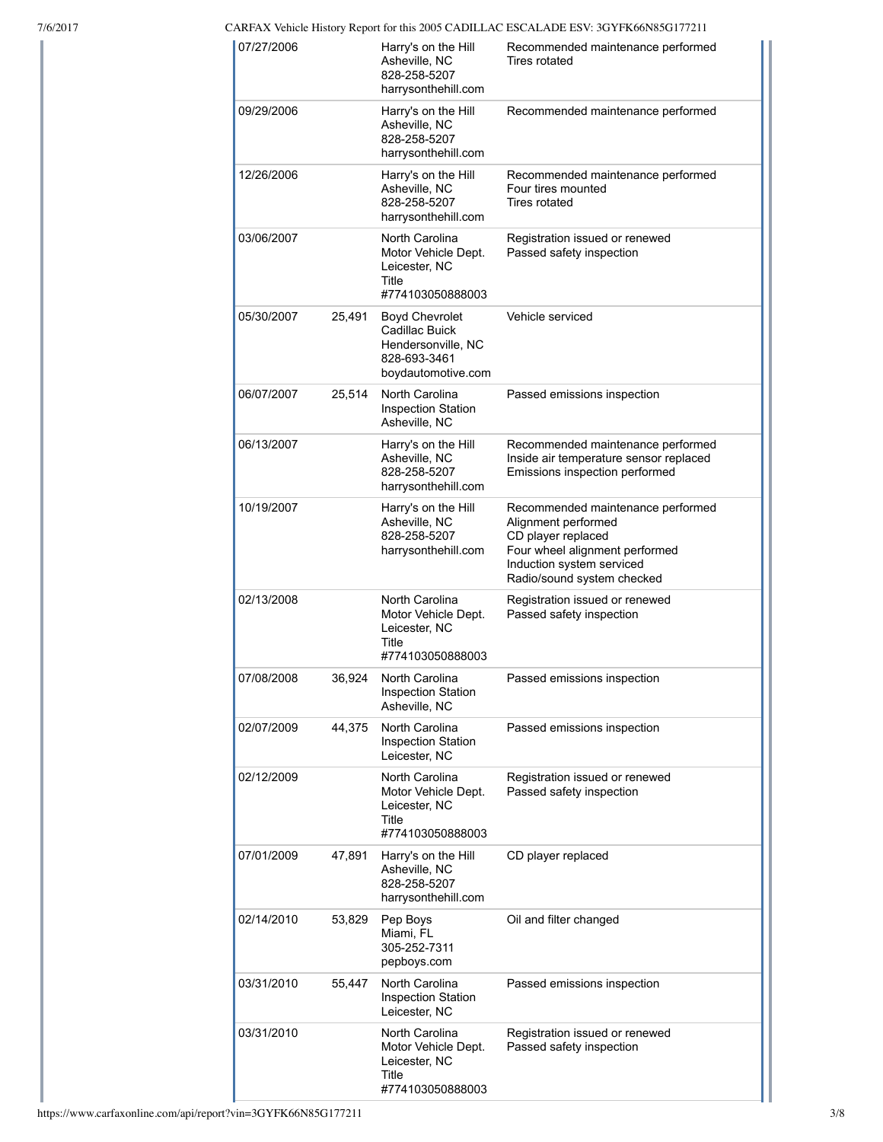7/6/2017 CARFAX Vehicle History Report for this 2005 CADILLAC ESCALADE ESV: 3GYFK66N85G177211

| 07/27/2006 |        | Harry's on the Hill<br>Asheville, NC<br>828-258-5207<br>harrysonthehill.com                         | Recommended maintenance performed<br>Tires rotated                                                                                                                          |
|------------|--------|-----------------------------------------------------------------------------------------------------|-----------------------------------------------------------------------------------------------------------------------------------------------------------------------------|
| 09/29/2006 |        | Harry's on the Hill<br>Asheville, NC<br>828-258-5207<br>harrysonthehill.com                         | Recommended maintenance performed                                                                                                                                           |
| 12/26/2006 |        | Harry's on the Hill<br>Asheville, NC<br>828-258-5207<br>harrysonthehill.com                         | Recommended maintenance performed<br>Four tires mounted<br><b>Tires rotated</b>                                                                                             |
| 03/06/2007 |        | North Carolina<br>Motor Vehicle Dept.<br>Leicester, NC<br>Title<br>#774103050888003                 | Registration issued or renewed<br>Passed safety inspection                                                                                                                  |
| 05/30/2007 | 25,491 | <b>Boyd Chevrolet</b><br>Cadillac Buick<br>Hendersonville, NC<br>828-693-3461<br>boydautomotive.com | Vehicle serviced                                                                                                                                                            |
| 06/07/2007 | 25,514 | North Carolina<br><b>Inspection Station</b><br>Asheville, NC                                        | Passed emissions inspection                                                                                                                                                 |
| 06/13/2007 |        | Harry's on the Hill<br>Asheville, NC<br>828-258-5207<br>harrysonthehill.com                         | Recommended maintenance performed<br>Inside air temperature sensor replaced<br>Emissions inspection performed                                                               |
| 10/19/2007 |        | Harry's on the Hill<br>Asheville, NC<br>828-258-5207<br>harrysonthehill.com                         | Recommended maintenance performed<br>Alignment performed<br>CD player replaced<br>Four wheel alignment performed<br>Induction system serviced<br>Radio/sound system checked |
| 02/13/2008 |        | North Carolina<br>Motor Vehicle Dept.<br>Leicester, NC<br>Title<br>#774103050888003                 | Registration issued or renewed<br>Passed safety inspection                                                                                                                  |
| 07/08/2008 | 36,924 | North Carolina<br><b>Inspection Station</b><br>Asheville, NC                                        | Passed emissions inspection                                                                                                                                                 |
| 02/07/2009 | 44,375 | North Carolina<br><b>Inspection Station</b><br>Leicester, NC                                        | Passed emissions inspection                                                                                                                                                 |
| 02/12/2009 |        | North Carolina<br>Motor Vehicle Dept.<br>Leicester, NC<br>Title<br>#774103050888003                 | Registration issued or renewed<br>Passed safety inspection                                                                                                                  |
| 07/01/2009 | 47,891 | Harry's on the Hill<br>Asheville, NC<br>828-258-5207<br>harrysonthehill.com                         | CD player replaced                                                                                                                                                          |
| 02/14/2010 | 53,829 | Pep Boys<br>Miami, FL<br>305-252-7311<br>pepboys.com                                                | Oil and filter changed                                                                                                                                                      |
| 03/31/2010 | 55,447 | North Carolina<br><b>Inspection Station</b><br>Leicester, NC                                        | Passed emissions inspection                                                                                                                                                 |
| 03/31/2010 |        | North Carolina<br>Motor Vehicle Dept.<br>Leicester, NC<br>Title<br>#774103050888003                 | Registration issued or renewed<br>Passed safety inspection                                                                                                                  |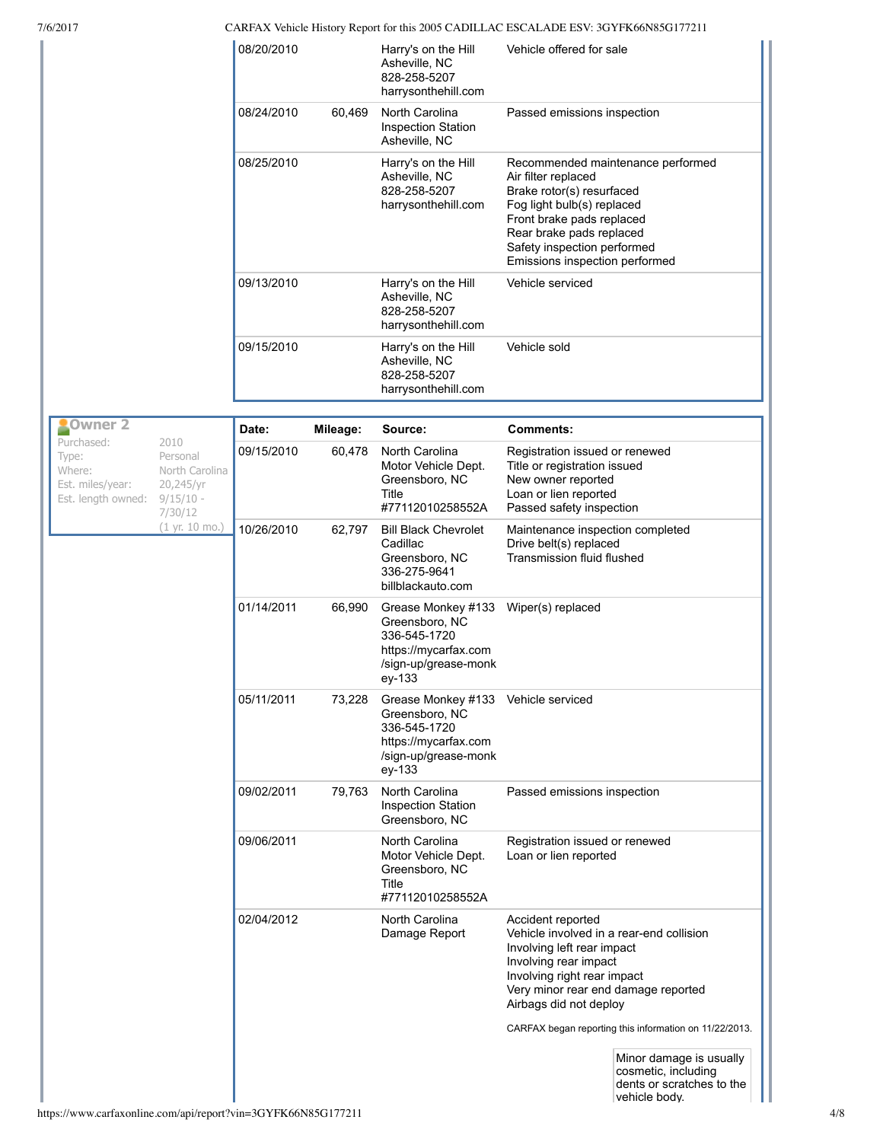| 7/6/2017                                                                                                                       |            |          |                                                                                                                | CARFAX Vehicle History Report for this 2005 CADILLAC ESCALADE ESV: 3GYFK66N85G177211                                                                                                                                                          |
|--------------------------------------------------------------------------------------------------------------------------------|------------|----------|----------------------------------------------------------------------------------------------------------------|-----------------------------------------------------------------------------------------------------------------------------------------------------------------------------------------------------------------------------------------------|
|                                                                                                                                | 08/20/2010 |          | Harry's on the Hill<br>Asheville, NC<br>828-258-5207<br>harrysonthehill.com                                    | Vehicle offered for sale                                                                                                                                                                                                                      |
|                                                                                                                                | 08/24/2010 | 60,469   | North Carolina<br><b>Inspection Station</b><br>Asheville, NC                                                   | Passed emissions inspection                                                                                                                                                                                                                   |
|                                                                                                                                | 08/25/2010 |          | Harry's on the Hill<br>Asheville, NC<br>828-258-5207<br>harrysonthehill.com                                    | Recommended maintenance performed<br>Air filter replaced<br>Brake rotor(s) resurfaced<br>Fog light bulb(s) replaced<br>Front brake pads replaced<br>Rear brake pads replaced<br>Safety inspection performed<br>Emissions inspection performed |
|                                                                                                                                | 09/13/2010 |          | Harry's on the Hill<br>Asheville, NC<br>828-258-5207<br>harrysonthehill.com                                    | Vehicle serviced                                                                                                                                                                                                                              |
|                                                                                                                                | 09/15/2010 |          | Harry's on the Hill<br>Asheville, NC<br>828-258-5207<br>harrysonthehill.com                                    | Vehicle sold                                                                                                                                                                                                                                  |
| Owner 2                                                                                                                        |            |          |                                                                                                                |                                                                                                                                                                                                                                               |
| Purchased:<br>2010                                                                                                             | Date:      | Mileage: | Source:                                                                                                        | Comments:                                                                                                                                                                                                                                     |
| Personal<br>Type:<br>Where:<br>North Carolina<br>Est. miles/year:<br>20,245/yr<br>Est. length owned:<br>$9/15/10 -$<br>7/30/12 | 09/15/2010 | 60,478   | North Carolina<br>Motor Vehicle Dept.<br>Greensboro, NC<br>Title<br>#77112010258552A                           | Registration issued or renewed<br>Title or registration issued<br>New owner reported<br>Loan or lien reported<br>Passed safety inspection                                                                                                     |
| (1 yr. 10 mo.)                                                                                                                 | 10/26/2010 | 62,797   | <b>Bill Black Chevrolet</b><br>Cadillac<br>Greensboro, NC<br>336-275-9641<br>billblackauto.com                 | Maintenance inspection completed<br>Drive belt(s) replaced<br>Transmission fluid flushed                                                                                                                                                      |
|                                                                                                                                | 01/14/2011 | 66,990   | Grease Monkey #133<br>Greensboro, NC<br>336-545-1720<br>https://mycarfax.com<br>/sign-up/grease-monk<br>ey-133 | Wiper(s) replaced                                                                                                                                                                                                                             |
|                                                                                                                                | 05/11/2011 | 73,228   | Grease Monkey #133<br>Greensboro, NC<br>336-545-1720<br>https://mycarfax.com<br>/sign-up/grease-monk<br>ey-133 | Vehicle serviced                                                                                                                                                                                                                              |
|                                                                                                                                | 09/02/2011 | 79,763   | North Carolina<br><b>Inspection Station</b><br>Greensboro, NC                                                  | Passed emissions inspection                                                                                                                                                                                                                   |
|                                                                                                                                | 09/06/2011 |          | North Carolina<br>Motor Vehicle Dept.<br>Greensboro, NC<br>Title<br>#77112010258552A                           | Registration issued or renewed<br>Loan or lien reported                                                                                                                                                                                       |
|                                                                                                                                | 02/04/2012 |          | North Carolina<br>Damage Report                                                                                | Accident reported<br>Vehicle involved in a rear-end collision<br>Involving left rear impact<br>Involving rear impact<br>Involving right rear impact<br>Very minor rear end damage reported<br>Airbags did not deploy                          |
|                                                                                                                                |            |          |                                                                                                                | CARFAX began reporting this information on 11/22/2013.<br>Minor damage is usually<br>cosmetic, including<br>dents or scratches to the<br>vehicle body.                                                                                        |

vehicle body.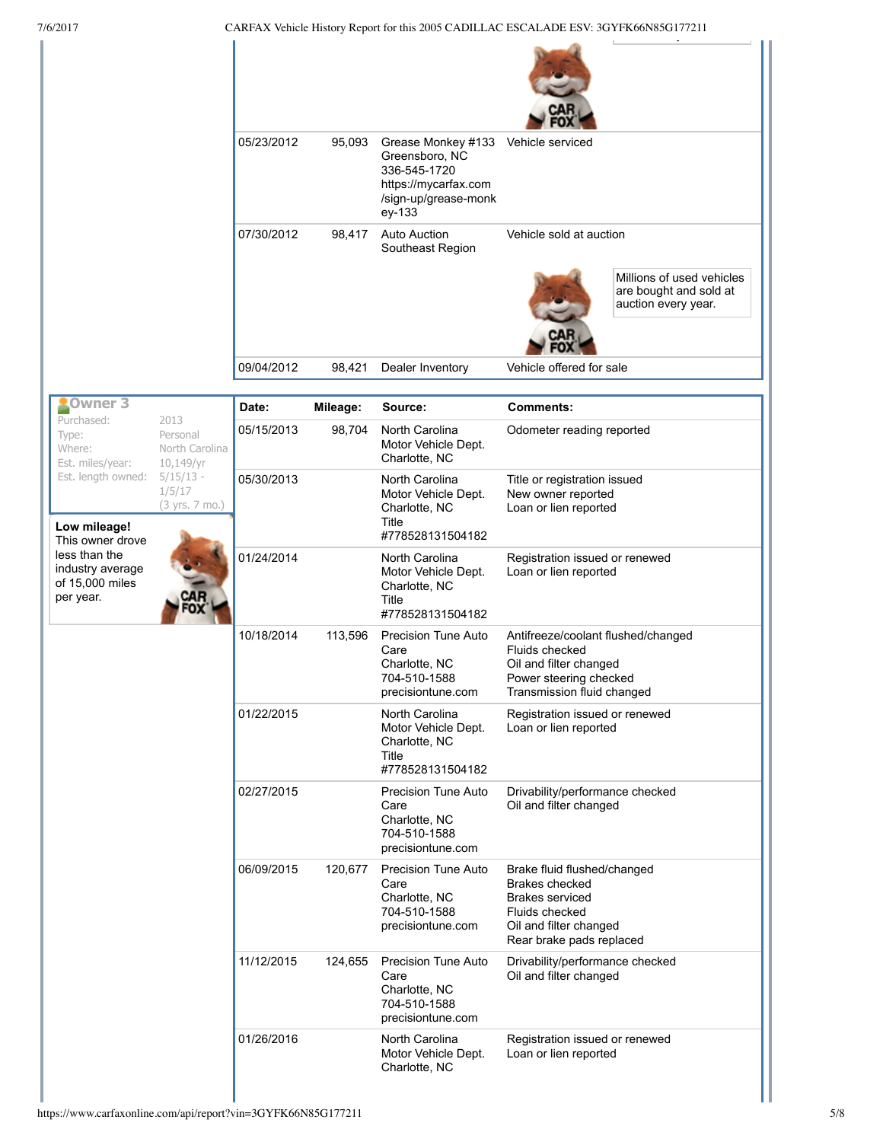| 7/6/2017                                                          |                                                 |            |          | CARFAX Vehicle History Report for this 2005 CADILLAC ESCALADE ESV: 3GYFK66N85G177211                                            |                                                                                                                                                 |                                                                            |
|-------------------------------------------------------------------|-------------------------------------------------|------------|----------|---------------------------------------------------------------------------------------------------------------------------------|-------------------------------------------------------------------------------------------------------------------------------------------------|----------------------------------------------------------------------------|
|                                                                   |                                                 |            |          |                                                                                                                                 |                                                                                                                                                 |                                                                            |
|                                                                   |                                                 | 05/23/2012 | 95,093   | Grease Monkey #133 Vehicle serviced<br>Greensboro, NC<br>336-545-1720<br>https://mycarfax.com<br>/sign-up/grease-monk<br>ey-133 |                                                                                                                                                 |                                                                            |
|                                                                   |                                                 | 07/30/2012 | 98,417   | <b>Auto Auction</b><br>Southeast Region                                                                                         | Vehicle sold at auction                                                                                                                         |                                                                            |
|                                                                   |                                                 |            |          |                                                                                                                                 |                                                                                                                                                 | Millions of used vehicles<br>are bought and sold at<br>auction every year. |
|                                                                   |                                                 | 09/04/2012 | 98,421   |                                                                                                                                 | Vehicle offered for sale                                                                                                                        |                                                                            |
|                                                                   |                                                 |            |          | Dealer Inventory                                                                                                                |                                                                                                                                                 |                                                                            |
| Owner <sub>3</sub>                                                |                                                 | Date:      | Mileage: | Source:                                                                                                                         | <b>Comments:</b>                                                                                                                                |                                                                            |
| Purchased:<br>Type:<br>Where:<br>Est. miles/year:                 | 2013<br>Personal<br>North Carolina<br>10,149/yr | 05/15/2013 | 98,704   | North Carolina<br>Motor Vehicle Dept.<br>Charlotte, NC                                                                          | Odometer reading reported                                                                                                                       |                                                                            |
| Est. length owned:<br>Low mileage!<br>This owner drove            | $5/15/13 -$<br>1/5/17<br>(3 yrs. 7 mo.)         | 05/30/2013 |          | North Carolina<br>Motor Vehicle Dept.<br>Charlotte, NC<br>Title<br>#778528131504182                                             | Title or registration issued<br>New owner reported<br>Loan or lien reported                                                                     |                                                                            |
| less than the<br>industry average<br>of 15,000 miles<br>per year. |                                                 | 01/24/2014 |          | North Carolina<br>Motor Vehicle Dept.<br>Charlotte, NC<br>Title<br>#778528131504182                                             | Registration issued or renewed<br>Loan or lien reported                                                                                         |                                                                            |
|                                                                   |                                                 | 10/18/2014 | 113,596  | Precision Tune Auto<br>Care<br>Charlotte, NC<br>704-510-1588<br>precisiontune.com                                               | Antifreeze/coolant flushed/changed<br>Fluids checked<br>Oil and filter changed<br>Power steering checked<br>Transmission fluid changed          |                                                                            |
|                                                                   |                                                 | 01/22/2015 |          | North Carolina<br>Motor Vehicle Dept.<br>Charlotte, NC<br>Title<br>#778528131504182                                             | Registration issued or renewed<br>Loan or lien reported                                                                                         |                                                                            |
|                                                                   |                                                 | 02/27/2015 |          | Precision Tune Auto<br>Care<br>Charlotte, NC<br>704-510-1588<br>precisiontune.com                                               | Drivability/performance checked<br>Oil and filter changed                                                                                       |                                                                            |
|                                                                   |                                                 | 06/09/2015 | 120,677  | Precision Tune Auto<br>Care<br>Charlotte, NC<br>704-510-1588<br>precisiontune.com                                               | Brake fluid flushed/changed<br>Brakes checked<br><b>Brakes serviced</b><br>Fluids checked<br>Oil and filter changed<br>Rear brake pads replaced |                                                                            |
|                                                                   |                                                 | 11/12/2015 | 124,655  | <b>Precision Tune Auto</b><br>Care<br>Charlotte, NC<br>704-510-1588<br>precisiontune.com                                        | Drivability/performance checked<br>Oil and filter changed                                                                                       |                                                                            |
|                                                                   |                                                 | 01/26/2016 |          | North Carolina<br>Motor Vehicle Dept.<br>Charlotte, NC                                                                          | Registration issued or renewed<br>Loan or lien reported                                                                                         |                                                                            |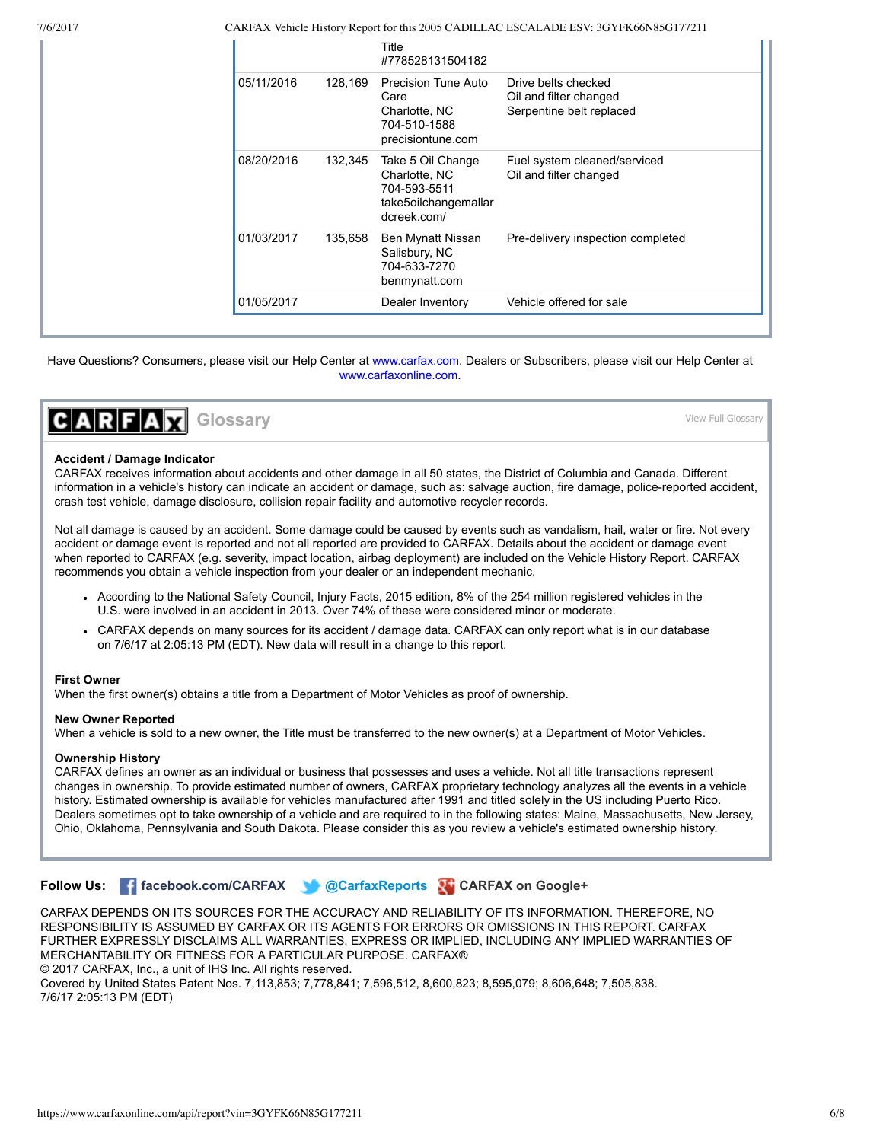7/6/2017 CARFAX Vehicle History Report for this 2005 CADILLAC ESCALADE ESV: 3GYFK66N85G177211

|                       | Title<br>#778528131504182                                                                 |                                                                           |
|-----------------------|-------------------------------------------------------------------------------------------|---------------------------------------------------------------------------|
| 05/11/2016<br>128,169 | Precision Tune Auto<br>Care<br>Charlotte, NC<br>704-510-1588<br>precisiontune.com         | Drive belts checked<br>Oil and filter changed<br>Serpentine belt replaced |
| 08/20/2016<br>132,345 | Take 5 Oil Change<br>Charlotte, NC<br>704-593-5511<br>take5oilchangemallar<br>dcreek.com/ | Fuel system cleaned/serviced<br>Oil and filter changed                    |
| 01/03/2017<br>135,658 | Ben Mynatt Nissan<br>Salisbury, NC<br>704-633-7270<br>benmynatt.com                       | Pre-delivery inspection completed                                         |
| 01/05/2017            | Dealer Inventory                                                                          | Vehicle offered for sale                                                  |

Have Questions? Consumers, please visit our Help Center at [www.carfax.com.](http://www.carfax.com/help) Dealers or Subscribers, please visit our Help Center at [www.carfaxonline.com.](http://www.carfaxonline.com/)



## [View Full Glossary](https://www.carfaxonline.com/phoenix/glossary.cfx?language=en)

#### <span id="page-5-0"></span>**Accident / Damage Indicator**

CARFAX receives information about accidents and other damage in all 50 states, the District of Columbia and Canada. Different information in a vehicle's history can indicate an accident or damage, such as: salvage auction, fire damage, police-reported accident, crash test vehicle, damage disclosure, collision repair facility and automotive recycler records.

Not all damage is caused by an accident. Some damage could be caused by events such as vandalism, hail, water or fire. Not every accident or damage event is reported and not all reported are provided to CARFAX. Details about the accident or damage event when reported to CARFAX (e.g. severity, impact location, airbag deployment) are included on the Vehicle History Report. CARFAX recommends you obtain a vehicle inspection from your dealer or an independent mechanic.

- According to the National Safety Council, Injury Facts, 2015 edition, 8% of the 254 million registered vehicles in the U.S. were involved in an accident in 2013. Over 74% of these were considered minor or moderate.
- CARFAX depends on many sources for its accident / damage data. CARFAX can only report what is in our database on 7/6/17 at 2:05:13 PM (EDT). New data will result in a change to this report.

#### **First Owner**

When the first owner(s) obtains a title from a Department of Motor Vehicles as proof of ownership.

#### **New Owner Reported**

When a vehicle is sold to a new owner, the Title must be transferred to the new owner(s) at a Department of Motor Vehicles.

#### **Ownership History**

CARFAX defines an owner as an individual or business that possesses and uses a vehicle. Not all title transactions represent changes in ownership. To provide estimated number of owners, CARFAX proprietary technology analyzes all the events in a vehicle history. Estimated ownership is available for vehicles manufactured after 1991 and titled solely in the US including Puerto Rico. Dealers sometimes opt to take ownership of a vehicle and are required to in the following states: Maine, Massachusetts, New Jersey, Ohio, Oklahoma, Pennsylvania and South Dakota. Please consider this as you review a vehicle's estimated ownership history.

**Follow Us:  [facebook.com/CARFAX](http://facebook.com/CARFAX)   [@CarfaxReports](http://twitter.com/#!/CarfaxReports)  [CARFAX on Google+](https://plus.google.com/110032975583928800128?prsrc=3)**

CARFAX DEPENDS ON ITS SOURCES FOR THE ACCURACY AND RELIABILITY OF ITS INFORMATION. THEREFORE, NO RESPONSIBILITY IS ASSUMED BY CARFAX OR ITS AGENTS FOR ERRORS OR OMISSIONS IN THIS REPORT. CARFAX FURTHER EXPRESSLY DISCLAIMS ALL WARRANTIES, EXPRESS OR IMPLIED, INCLUDING ANY IMPLIED WARRANTIES OF MERCHANTABILITY OR FITNESS FOR A PARTICULAR PURPOSE. CARFAX® © 2017 CARFAX, Inc., a unit of IHS Inc. All rights reserved.

Covered by United States Patent Nos. 7,113,853; 7,778,841; 7,596,512, 8,600,823; 8,595,079; 8,606,648; 7,505,838. 7/6/17 2:05:13 PM (EDT)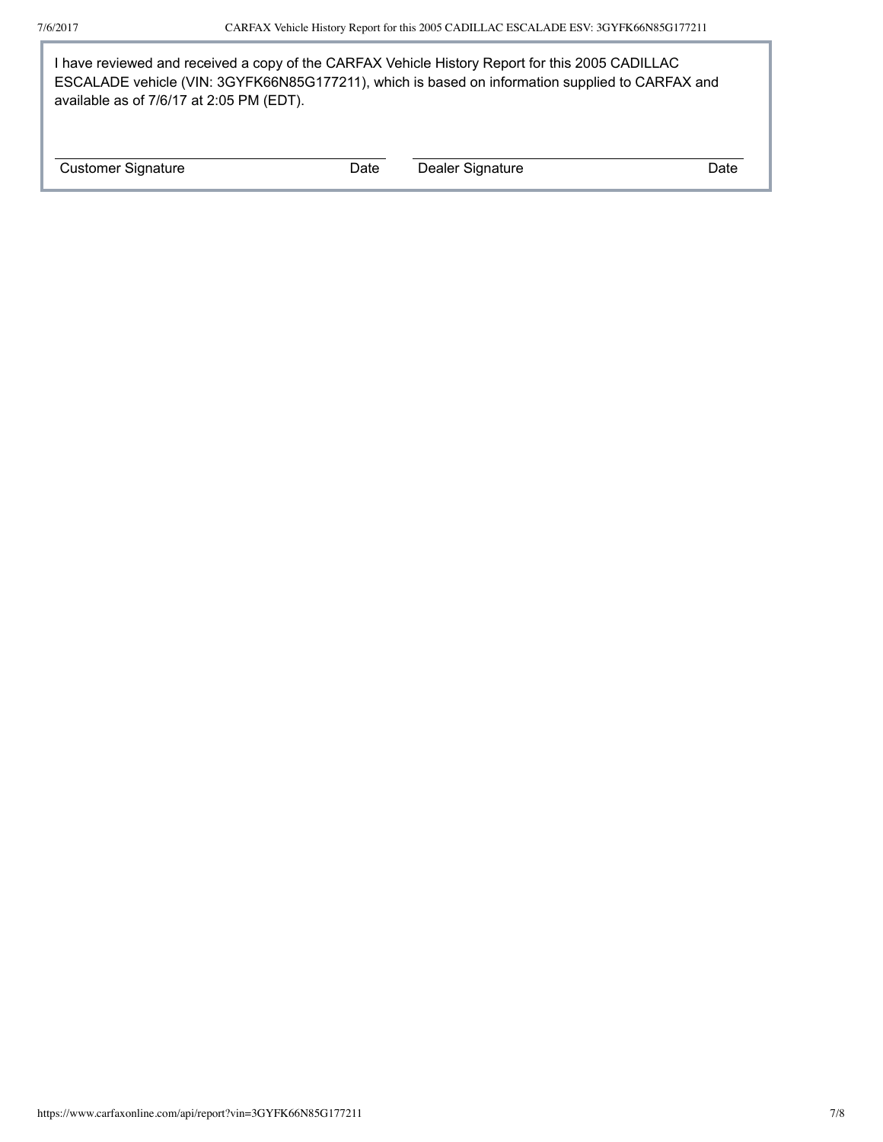I have reviewed and received a copy of the CARFAX Vehicle History Report for this 2005 CADILLAC ESCALADE vehicle (VIN: 3GYFK66N85G177211), which is based on information supplied to CARFAX and available as of 7/6/17 at 2:05 PM (EDT).

Customer Signature **Date** Dealer Signature Date